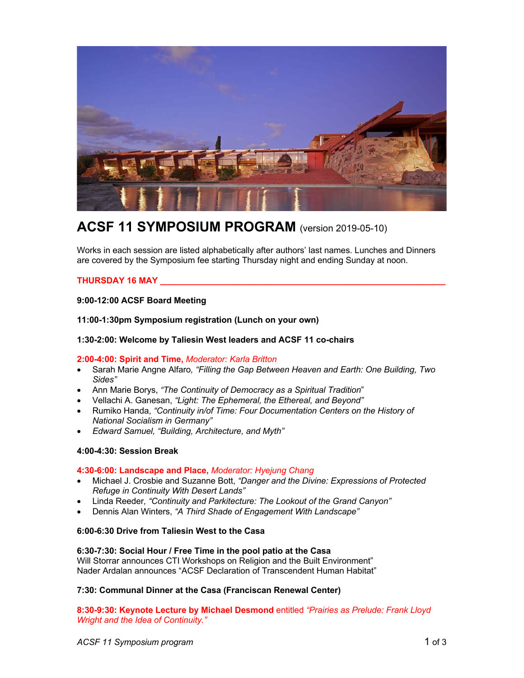

# **ACSF 11 SYMPOSIUM PROGRAM** (version 2019-05-10)

Works in each session are listed alphabetically after authors' last names. Lunches and Dinners are covered by the Symposium fee starting Thursday night and ending Sunday at noon.

# **THURSDAY 16 MAY \_\_\_\_\_\_\_\_\_\_\_\_\_\_\_\_\_\_\_\_\_\_\_\_\_\_\_\_\_\_\_\_\_\_\_\_\_\_\_\_\_\_\_\_\_\_\_\_\_\_\_\_\_\_\_\_\_\_\_\_**

# **9:00-12:00 ACSF Board Meeting**

**11:00-1:30pm Symposium registration (Lunch on your own)**

## **1:30-2:00: Welcome by Taliesin West leaders and ACSF 11 co-chairs**

### **2:00-4:00: Spirit and Time,** *Moderator: Karla Britton*

- Sarah Marie Angne Alfaro*, "Filling the Gap Between Heaven and Earth: One Building, Two Sides"*
- Ann Marie Borys, *"The Continuity of Democracy as a Spiritual Tradition*"
- Vellachi A. Ganesan, *"Light: The Ephemeral, the Ethereal, and Beyond"*
- Rumiko Handa, *"Continuity in/of Time: Four Documentation Centers on the History of National Socialism in Germany"*
- *Edward Samuel, "Building, Architecture, and Myth"*

### **4:00-4:30: Session Break**

# **4:30-6:00: Landscape and Place,** *Moderator: Hyejung Chang*

- Michael J. Crosbie and Suzanne Bott, *"Danger and the Divine: Expressions of Protected Refuge in Continuity With Desert Lands"*
- Linda Reeder*, "Continuity and Parkitecture: The Lookout of the Grand Canyon"*
- Dennis Alan Winters, *"A Third Shade of Engagement With Landscape"*

### **6:00-6:30 Drive from Taliesin West to the Casa**

### **6:30-7:30: Social Hour / Free Time in the pool patio at the Casa** Will Storrar announces CTI Workshops on Religion and the Built Environment" Nader Ardalan announces "ACSF Declaration of Transcendent Human Habitat"

### **7:30: Communal Dinner at the Casa (Franciscan Renewal Center)**

**8:30-9:30: Keynote Lecture by Michael Desmond** entitled *"Prairies as Prelude: Frank Lloyd Wright and the Idea of Continuity."*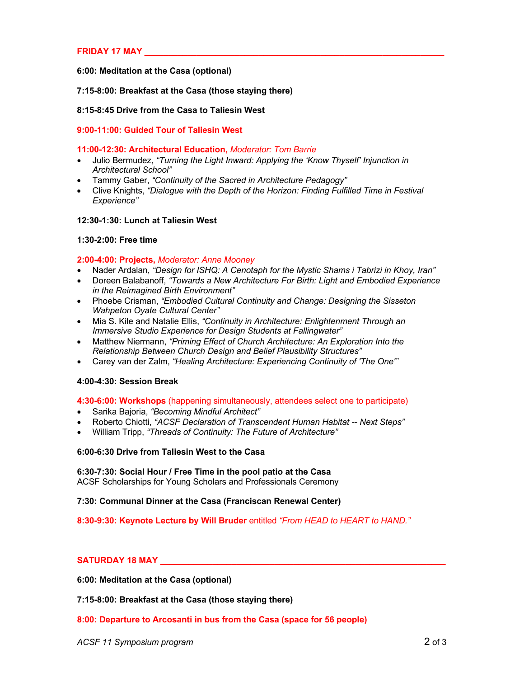# **FRIDAY 17 MAY \_\_\_\_\_\_\_\_\_\_\_\_\_\_\_\_\_\_\_\_\_\_\_\_\_\_\_\_\_\_\_\_\_\_\_\_\_\_\_\_\_\_\_\_\_\_\_\_\_\_\_\_\_\_\_\_\_\_\_\_\_\_\_**

### **6:00: Meditation at the Casa (optional)**

### **7:15-8:00: Breakfast at the Casa (those staying there)**

## **8:15-8:45 Drive from the Casa to Taliesin West**

**9:00-11:00: Guided Tour of Taliesin West**

### **11:00-12:30: Architectural Education,** *Moderator: Tom Barrie*

- Julio Bermudez, *"Turning the Light Inward: Applying the 'Know Thyself' Injunction in Architectural School"*
- Tammy Gaber, *"Continuity of the Sacred in Architecture Pedagogy"*
- Clive Knights, *"Dialogue with the Depth of the Horizon: Finding Fulfilled Time in Festival Experience"*

### **12:30-1:30: Lunch at Taliesin West**

### **1:30-2:00: Free time**

### **2:00-4:00: Projects,** *Moderator: Anne Mooney*

- Nader Ardalan, *"Design for ISHQ: A Cenotaph for the Mystic Shams i Tabrizi in Khoy, Iran"*
- Doreen Balabanoff, *"Towards a New Architecture For Birth: Light and Embodied Experience in the Reimagined Birth Environment"*
- Phoebe Crisman, *"Embodied Cultural Continuity and Change: Designing the Sisseton Wahpeton Oyate Cultural Center"*
- Mia S. Kile and Natalie Ellis, *"Continuity in Architecture: Enlightenment Through an Immersive Studio Experience for Design Students at Fallingwater"*
- Matthew Niermann, *"Priming Effect of Church Architecture: An Exploration Into the Relationship Between Church Design and Belief Plausibility Structures"*
- Carey van der Zalm, *"Healing Architecture: Experiencing Continuity of 'The One'"*

### **4:00-4:30: Session Break**

### **4:30-6:00: Workshops** (happening simultaneously, attendees select one to participate)

- Sarika Bajoria, *"Becoming Mindful Architect"*
- Roberto Chiotti, *"ACSF Declaration of Transcendent Human Habitat -- Next Steps"*
- William Tripp, *"Threads of Continuity: The Future of Architecture"*

# **6:00-6:30 Drive from Taliesin West to the Casa**

# **6:30-7:30: Social Hour / Free Time in the pool patio at the Casa**

ACSF Scholarships for Young Scholars and Professionals Ceremony

### **7:30: Communal Dinner at the Casa (Franciscan Renewal Center)**

**8:30-9:30: Keynote Lecture by Will Bruder** entitled *"From HEAD to HEART to HAND."*

### **SATURDAY 18 MAY Latter than 18 MAY** *CONSUMBLY 18 MAY*

**6:00: Meditation at the Casa (optional)**

**7:15-8:00: Breakfast at the Casa (those staying there)**

### **8:00: Departure to Arcosanti in bus from the Casa (space for 56 people)**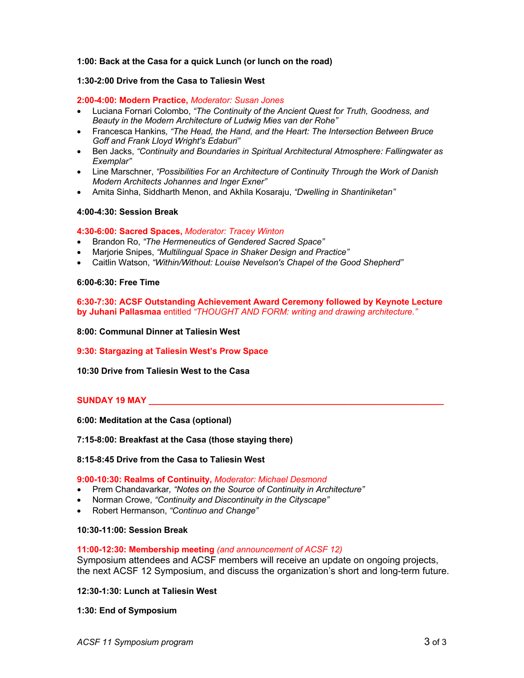# **1:00: Back at the Casa for a quick Lunch (or lunch on the road)**

# **1:30-2:00 Drive from the Casa to Taliesin West**

## **2:00-4:00: Modern Practice,** *Moderator: Susan Jones*

- Luciana Fornari Colombo, *"The Continuity of the Ancient Quest for Truth, Goodness, and Beauty in the Modern Architecture of Ludwig Mies van der Rohe"*
- Francesca Hankins*, "The Head, the Hand, and the Heart: The Intersection Between Bruce Goff and Frank Lloyd Wright's Edaburi"*
- Ben Jacks, *"Continuity and Boundaries in Spiritual Architectural Atmosphere: Fallingwater as Exemplar"*
- Line Marschner, *"Possibilities For an Architecture of Continuity Through the Work of Danish Modern Architects Johannes and Inger Exner"*
- Amita Sinha, Siddharth Menon, and Akhila Kosaraju, *"Dwelling in Shantiniketan"*

### **4:00-4:30: Session Break**

### **4:30-6:00: Sacred Spaces,** *Moderator: Tracey Winton*

- Brandon Ro, *"The Hermeneutics of Gendered Sacred Space"*
- Marjorie Snipes, *"Multilingual Space in Shaker Design and Practice"*
- Caitlin Watson, *"Within/Without: Louise Nevelson's Chapel of the Good Shepherd"*

### **6:00-6:30: Free Time**

### **6:30-7:30: ACSF Outstanding Achievement Award Ceremony followed by Keynote Lecture by Juhani Pallasmaa** entitled *"THOUGHT AND FORM: writing and drawing architecture."*

**8:00: Communal Dinner at Taliesin West**

**9:30: Stargazing at Taliesin West's Prow Space** 

**10:30 Drive from Taliesin West to the Casa**

### **SUNDAY 19 MAY** *NAY NAY NAY NAY NAY NAY NAY NAY NAY NAY NAY NAY NAY NAY NAY NAY NAY NAY NAY NAY NAY NAY NAY NAY NAY NAY*

**6:00: Meditation at the Casa (optional)**

### **7:15-8:00: Breakfast at the Casa (those staying there)**

#### **8:15-8:45 Drive from the Casa to Taliesin West**

#### **9:00-10:30: Realms of Continuity,** *Moderator: Michael Desmond*

- Prem Chandavarkar*, "Notes on the Source of Continuity in Architecture"*
- Norman Crowe, *"Continuity and Discontinuity in the Cityscape"*
- Robert Hermanson, *"Continuo and Change"*

### **10:30-11:00: Session Break**

#### **11:00-12:30: Membership meeting** *(and announcement of ACSF 12)*

Symposium attendees and ACSF members will receive an update on ongoing projects, the next ACSF 12 Symposium, and discuss the organization's short and long-term future.

**12:30-1:30: Lunch at Taliesin West**

**1:30: End of Symposium**